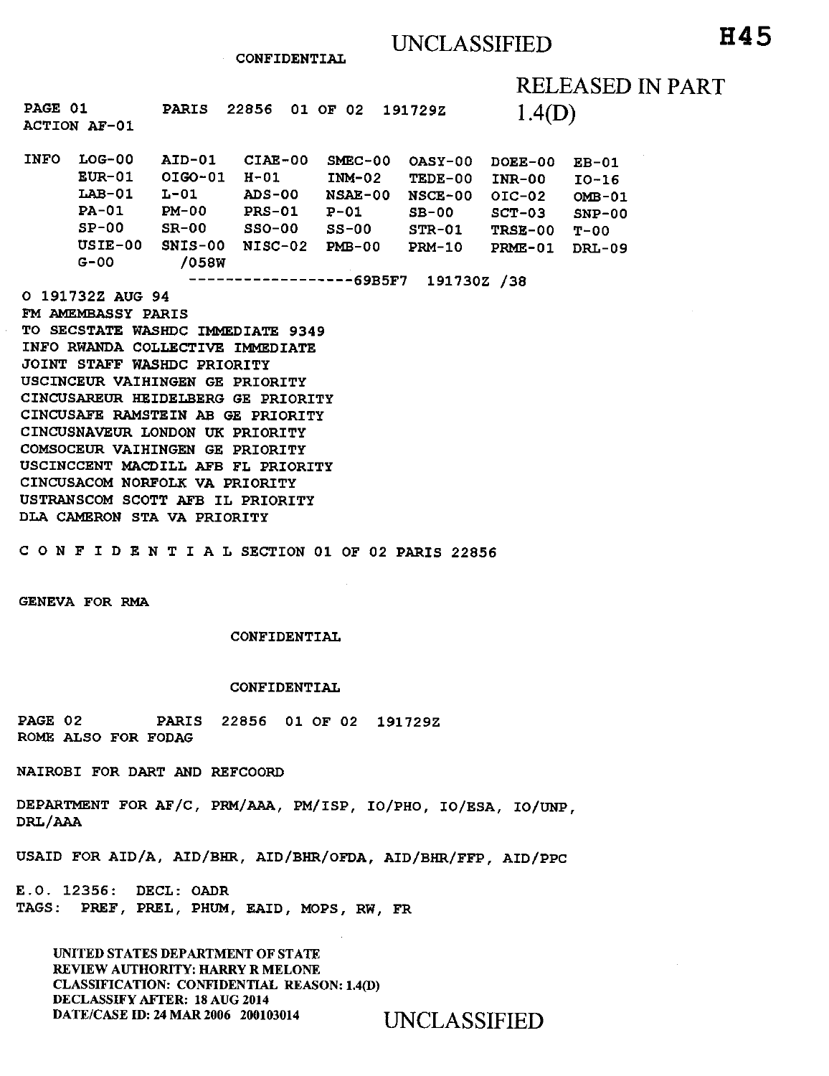**CONFIDENTIAL** 

RELEASED IN PART

| PAGE 01     | <b>ACTION AF-01</b>                                                                  | <b>PARIS</b>                                                              | 22856<br>01                                                           | -02<br>OF                                                                  | 191729Z                                                            | 1.4(D)                                                                          |                                                                     |
|-------------|--------------------------------------------------------------------------------------|---------------------------------------------------------------------------|-----------------------------------------------------------------------|----------------------------------------------------------------------------|--------------------------------------------------------------------|---------------------------------------------------------------------------------|---------------------------------------------------------------------|
| <b>INFO</b> | $LOG-00$<br>$EUR-01$<br>$LAB-01$<br><b>PA-01</b><br>$SP-00$<br>$USIE-00$<br>$G - 00$ | AID-01<br>OIGO-01<br>$1 - 01$<br>$PM-OO$<br>$SR-00$<br>$SNIS-00$<br>/058W | $CIAE-00$<br>H-01<br>$ADS-OO$<br><b>PRS-01</b><br>$SSO-00$<br>NISC-02 | $SMEC-00$<br>$IMM-02$<br><b>NSAE-00</b><br>$P - 01$<br>$SS-00$<br>$PMB-00$ | $OASY-00$<br>TEDE-00<br>NSCE-00<br>$SB-00$<br>$STR-01$<br>$PRM-10$ | DOEE-00<br>$INR-00$<br>$OIC-02$<br>$SCT-03$<br><b>TRSE-00</b><br><b>PRME-01</b> | $EB-01$<br>$IO-16$<br>$OMB-01$<br>$SNP-00$<br>T-00<br><b>DRL-09</b> |

**69B5F7 191730Z /38** 

**O 191732Z AUG 94 FM AMEMBASSY PARIS TO SECSTATE WASHDC IMMEDIATE 9349 INFO RWANDA COLLECTIVE IMMEDIATE JOINT STAFF WASHDC PRIORITY USCINCEUR VAIHINGEN GE PRIORITY CINCUSAREUR HEIDELBERG GE PRIORITY CINCUSAFE RAMSTEIN AB GE PRIORITY CINCUSNAVEUR LONDON UK PRIORITY COMSOCEUR VAIHINGEN GE PRIORITY USCINCCENT MACDILL AFB FL PRIORITY CINCUSACOM NORFOLK VA PRIORITY USTRANSCOM SCOTT AFB IL PRIORITY DLA CAMERON STA VA PRIORITY** 

**CONFIDENTIALSECTION 01 OF 02 PARIS 22856** 

**GENEVA FOR RMA** 

### **CONFIDENTIAL**

### **CONFIDENTIAL**

**PAGE 02 PARIS 22856 01 OF 02 191729Z ROME ALSO FOR FODAG** 

**NAIROBI FOR DART AND REFCOORD** 

**DEPARTMENT FOR AF/C, PRM/AAA, PM/ISP, IO/PHO, IO/ESA, IO/UNP, DRL/AAA** 

**USAID FOR AID/A, AID/BHR, AID/BHR/OFDA, AID/BHR/FFP, AID/PPC** 

**E.O. 12356: DECL: OADR TAGS: PREF, PREL, PHUM, EAID, MOPS, RW, FR** 

UNITED STATES DEPARTMENT OF STATE REVIEW AUTHORITY: HARRY R MELONE CLASSIFICATION: CONFIDENTIAL REASON: 1.4(D) DECLASSIFY AFTER: 18 AUG 2014 DATE/CASE ID: 24 MAR 2006 200103014 UNCLASSIFIED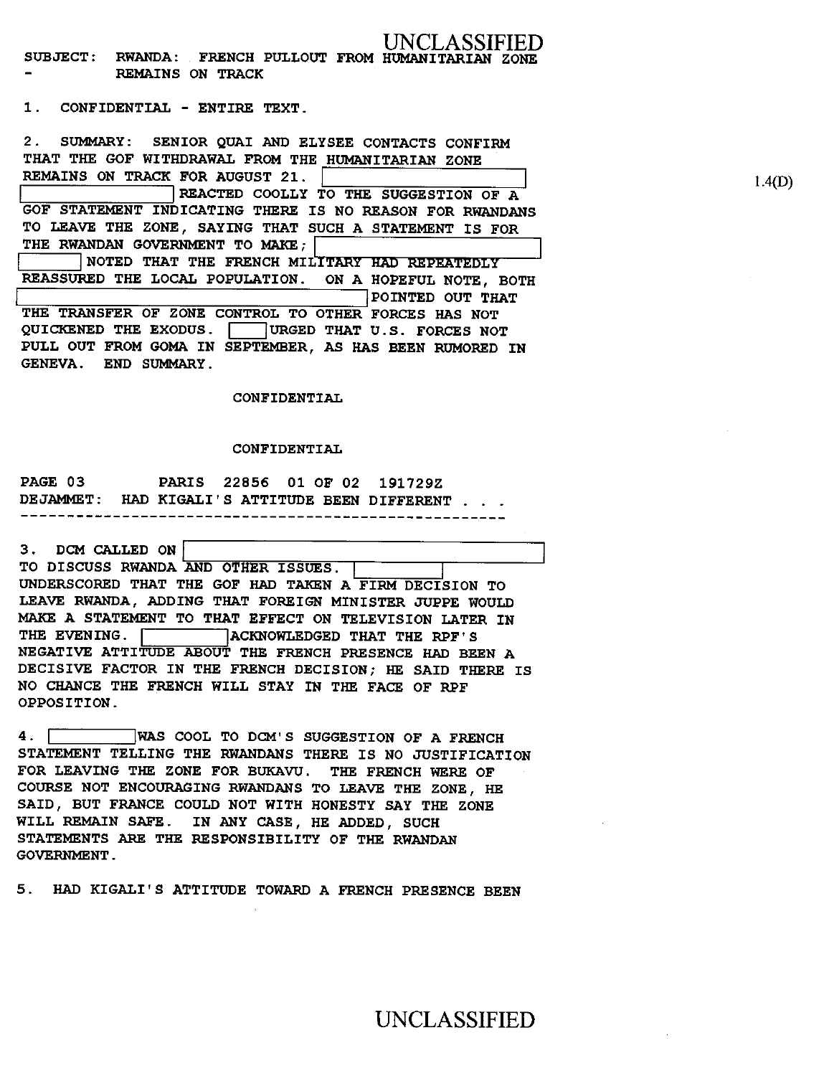### **LASSIFIED SUBJECT: RWANDA: FRENCH PULLOUT FROM HUMANITARIAN ZONE REMAINS ON TRACK**

**1. CONFIDENTIAL - ENTIRE TEXT.** 

**2. SUMMARY: SENIOR QUAI AND ELYSEE CONTACTS CONFIRM THAT THE GOF WITHDRAWAL FROM THE HUMANITARIAN ZONE REMAINS ON TRACK FOR AUGUST 21. REACTED COOLLY TO THE SUGGESTION OF A GOF STATEMENT INDICATING THERE IS NO REASON FOR RWANDANS TO LEAVE THE ZONE, SAYING THAT SUCH A STATEMENT IS FOR THE RWANDAN GOVERNMENT TO MAKE;' NOTED THAT THE FRENCH MILITARY HAD REPEATEDLY REASSURED THE LOCAL POPULATION. ON A HOPEFUL NOTE, BOTH POINTED OUT THAT THE TRANSFER OF ZONE CONTROL TO OTHER FORCES HAS NOT**  QUICKENED THE EXODUS. **I URGED THAT U.S. FORCES NOT PULL OUT FROM GOMA IN SEPTEMBER, AS HAS BEEN RUMORED IN GENEVA. END SUMMARY.** 

**CONFIDENTIAL** 

### **CONFIDENTIAL**

**PAGE 03 PARIS 22856 01 OF 02 191729Z DEJAMMET: HAD KIGALI'S ATTITUDE BEEN DIFFERENT . . .**  -------------

**3. DCM CALLED ON1 TO DISCUSS RWANDA AND OTHER ISSUES. UNDERSCORED THAT THE GOF HAD TAKEN A FIRM DECISION TO LEAVE RWANDA, ADDING THAT FOREIGN MINISTER JUPPE WOULD MAKE A STATEMENT TO THAT EFFECT ON TELEVISION LATER IN**  THE EVENING. **THE EVENING.** ACKNOWLEDGED THAT THE RPF'S **NEGATIVE ATTITUDE ABOUT THE FRENCH PRESENCE HAD BEEN A DECISIVE FACTOR IN THE FRENCH DECISION; HE SAID THERE IS NO CHANCE THE FRENCH WILL STAY IN THE FACE OF RPF OPPOSITION.** 

**4. WAS COOL TO DCM'S SUGGESTION OF A FRENCH STATEMENT TELLING THE RWANDANS THERE IS NO JUSTIFICATION FOR LEAVING THE ZONE FOR BUKAVU. THE FRENCH WERE OF COURSE NOT ENCOURAGING RWANDANS TO LEAVE THE ZONE, HE SAID, BUT FRANCE COULD NOT WITH HONESTY SAY THE ZONE WILL REMAIN SAFE. IN ANY CASE, HE ADDED, SUCH STATEMENTS ARE THE RESPONSIBILITY OF THE RWANDAN GOVERNMENT.** 

**5. HAD KIGALI'S ATTITUDE TOWARD A FRENCH PRESENCE BEEN** 

UNCLASSIFIED

1.4(D)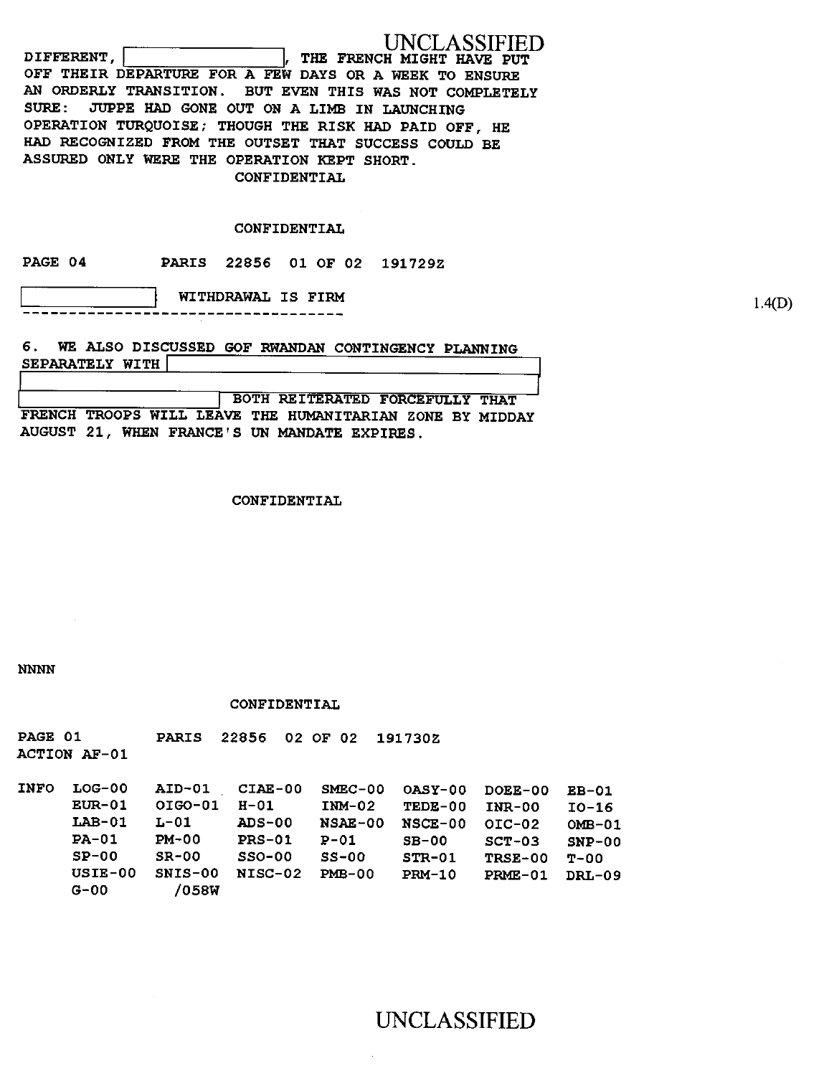| UNCLASSIFIED                                            |
|---------------------------------------------------------|
| DIFFERENT.<br>THE FRENCH MIGHT HAVE PUT                 |
| OFF THEIR DEPARTURE FOR A FEW DAYS OR A WEEK TO ENSURE  |
| AN ORDERLY TRANSITION. BUT EVEN THIS WAS NOT COMPLETELY |
| SURE: JUPPE HAD GONE OUT ON A LIMB IN LAUNCHING         |
| OPERATION TURQUOISE; THOUGH THE RISK HAD PAID OFF, HE   |
| HAD RECOGNIZED FROM THE OUTSET THAT SUCCESS COULD BE    |
| ASSURED ONLY WERE THE OPERATION KEPT SHORT.             |
| CONFIDENTIAL                                            |

## **CONFIDENTIAL**

**PAGE 04 PARIS 22856 01 OF 02 191729Z** 

**WITHDRAWAL IS FIRM**  $1.4(D)$ 

SEPARATELY WITH **6. WE ALSO DISCUSSED GOF RWANDAN CONTINGENCY PLANNING** 

**I BOTH REITERATED FORCEFULLY THAT FRENCH TROOPS WILL LEAVE THE HUMANITARIAN ZONE BY MIDDAY AUGUST 21, WHEN FRANCE'S UN MANDATE EXPIRES.** 

**CONFIDENTIAL** 

*NNNN* 

**CONFIDENTIAL** 

**PAGE 01 PARIS 22856 02 OF 02 191730Z ACTION AF-01** 

**INFO LOG-00 AID-01 CIAE-00 SMEC-00 OASY-00 DOEE-00 EB-01 EUR-01 OIGO-01 H-01 INM-02 TEDE-00 INR-00 10-16 LAB-01 L-01 ADS-00 NSAE-00 NSCE-00 01C-02 OMB-01 PA-01 PM-00 PRS-01 P-01 SB-00 SCT-03 SNP-00 SP-00 SR-00 SSO-00 SS-00 STR-01 TRSE-00 T-00 USIE-00 SNIS-00 NISC-02 PMB-00 PRM-10 PRME-01 DRL-09 G-00 /058W** 

UNCLASSIFIED

jJ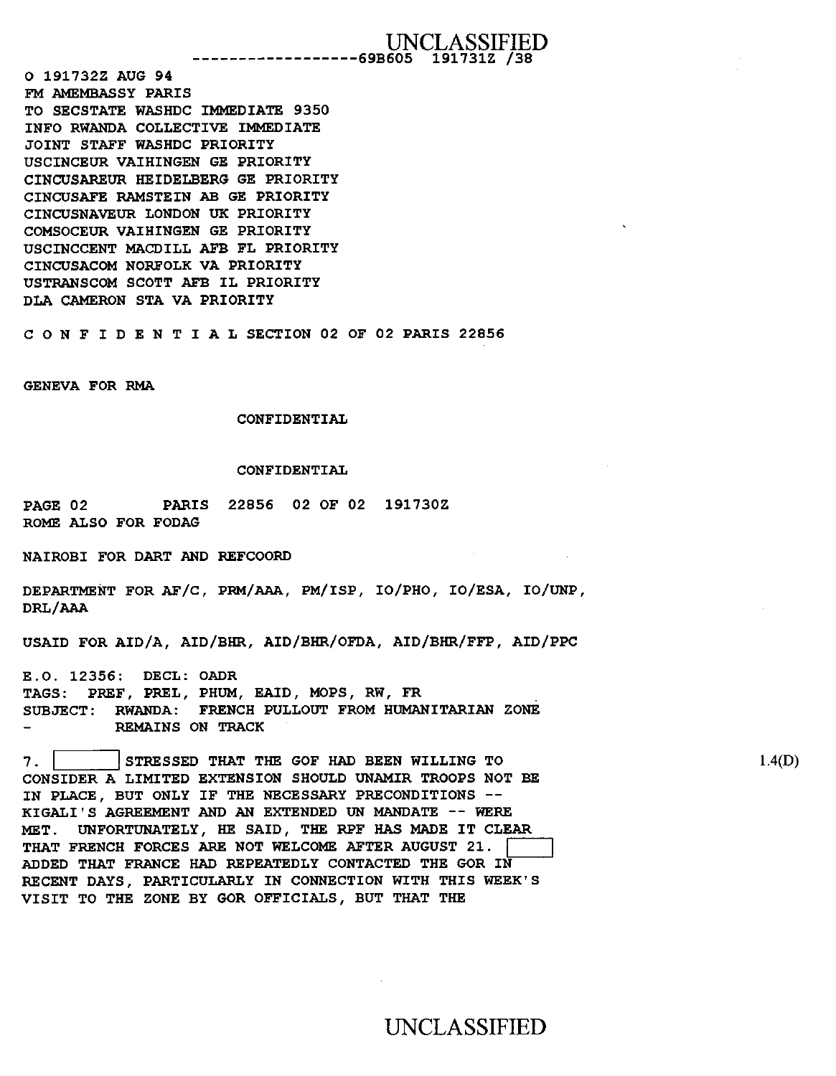**O 191732Z AUG 94 FM AMEMBASSY PARIS TO SECSTATE WASHDC IMMEDIATE 9350 INFO RWANDA COLLECTIVE IMMEDIATE JOINT STAFF WASHDC PRIORITY USCINCEUR VAIHINGEN GE PRIORITY CINCUSAREUR HEIDELBERG GE PRIORITY CINCUSAFE RAMSTEIN AB GE PRIORITY CINCUSNAVEUR LONDON UK PRIORITY COMSOCEUR VAIHINGEN GE PRIORITY USCINCCENT MACDILL AFB FL PRIORITY CINCUSACOM NORFOLK VA PRIORITY USTRANSCOM SCOTT AFB IL PRIORITY DLA CAMERON STA VA PRIORITY** 

**CONFIDENTIALSECTION 02 OF 02 PARIS 22856** 

**GENEVA FOR RMA** 

#### **CONFIDENTIAL**

#### **CONFIDENTIAL**

**PAGE 02 PARIS 22856 02 OF 02 191730Z ROME ALSO FOR FODAG** 

**NAIROBI FOR DART AND REFCOORD** 

**DEPARTMENT FOR AF/C, PRM/AAA,** 8m/18P, IO/PHO, zo/z8A, **IO/UNP, DRL/AAA** 

**USAID FOR AID/A, AID/BHR, AID/BHR/OFDA, AID/BHR/FFP, AID/PPC** 

**E.O. 12356: DECL: OADR TAGS: PREF, PREL, PHUM, EAID, MOPS, RW, FR SUBJECT: RWANDA: FRENCH PULLOUT FROM HUMANITARIAN ZONE REMAINS ON TRACK** 

**7. I I STRESSED THAT THE GOF HAD BEEN WILLING TO CONSIDER A LIMITED EXTENSION SHOULD UNAMIR TROOPS NOT BE IN PLACE, BUT ONLY IF THE NECESSARY PRECONDITIONS -- KIGALI'S AGREEMENT AND AN EXTENDED UN MANDATE -- WERE MET. UNFORTUNATELY, HE SAID, THE RPF HAS MADE IT CLEAR**  THAT FRENCH FORCES ARE NOT WELCOME AFTER AUGUST 21. **ADDED THAT FRANCE HAD REPEATEDLY CONTACTED THE GOR IN RECENT DAYS, PARTICULARLY IN CONNECTION WITH THIS WEEK'S VISIT TO THE ZONE BY GOR OFFICIALS, BUT THAT THE** 

1.4(D)

# UNCLASSIFIED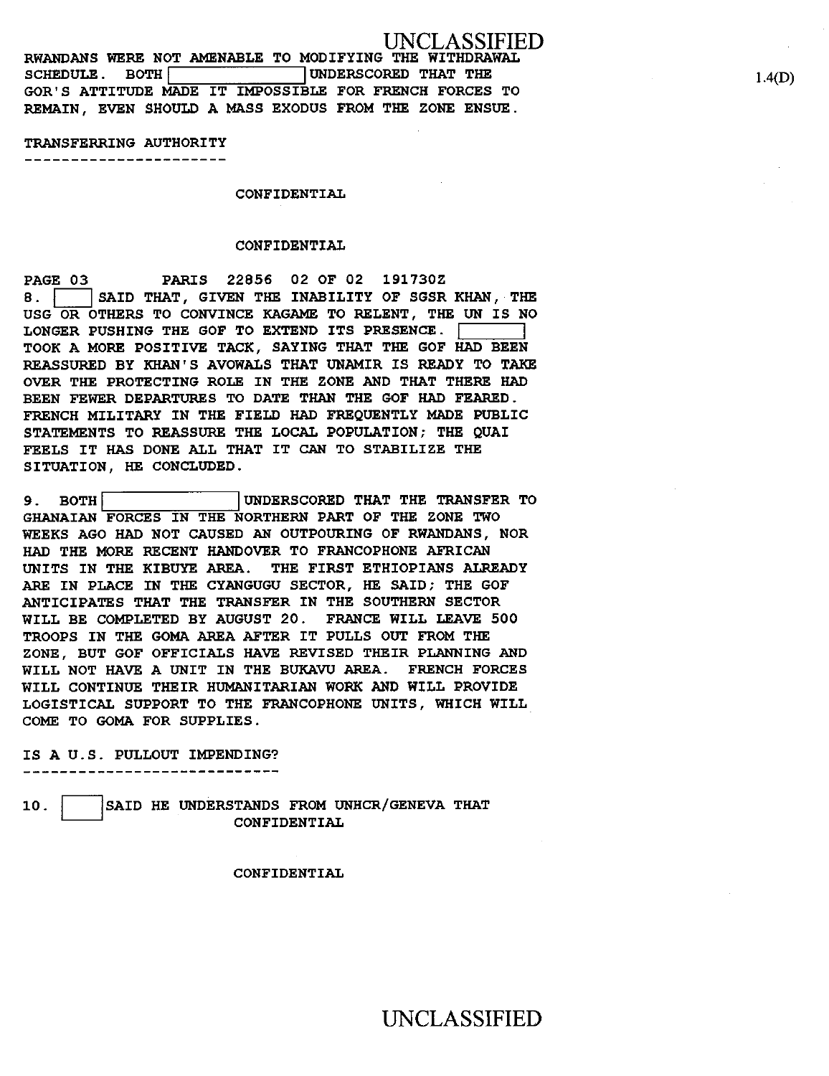**RWANDANS WERE NOT AMENABLE TO MODIFYING THE WITHDRAWAL**  SCHEDULE. BOTH **100 UNDERSCORED** THAT THE **GOR'S ATTITUDE MADE IT IMPOSSIBLE FOR FRENCH FORCES TO REMAIN, EVEN SHOULD A MASS EXODUS FROM THE ZONE ENSUE.** 

### **TRANSFERRING AUTHORITY**

----------------------

**CONFIDENTIAL** 

## **CONFIDENTIAL**

**PAGE03 PARIS 22856 02 OF 02 191730Z 8.** SAID THAT, GIVEN THE INABILITY OF SGSR KHAN, THE **USG OR OTHERS TO CONVINCE KAGAME TO RELENT, THE UN IS NO LONGER PUSHING THE** GOF **TO EXTEND ITS PRESENCE. TOOK A MORE POSITIVE TACK, SAYING THAT THE GOF HAD BEEN REASSURED BY KHAN'S AVOWALS THAT UNAMIR IS READY TO TAKE OVER THE PROTECTING ROLE IN THE ZONE AND THAT THERE HAD BEEN FEWER DEPARTURES TO DATE THAN THE GOF HAD FEARED. FRENCH MILITARY IN THE FIELD HAD FREQUENTLY MADE PUBLIC STATEMENTS TO REASSURE THE LOCAL POPULATION; THE QUAI FEELS IT HAS DONE ALL THAT IT CAN TO STABILIZE THE SITUATION, HE CONCLUDED.** 

**9. BOTH 1UNDERSCORED THAT THE TRANSFER TO GHANAIAN FORCES IN THE NORTHERN PART OF THE ZONE TWO WEEKS AGO HAD NOT CAUSED AN OUTPOURING OF RWANDANS, NOR HAD THE MORE RECENT HANDOVER TO FRANCOPHONE AFRICAN UNITS IN THE KIBUYE AREA. THE FIRST ETHIOPIANS ALREADY ARE IN PLACE IN THE CYANGUGU SECTOR, HE SAID; THE GOF ANTICIPATES THAT THE TRANSFER IN THE SOUTHERN SECTOR WILL BE COMPLETED BY AUGUST 20. FRANCE WILL LEAVE 500 TROOPS IN THE GOMA AREA AFTER IT PULLS OUT FROM THE ZONE, BUT GOF OFFICIALS HAVE REVISED THEIR PLANNING AND WILL NOT HAVE A UNIT IN THE BUKAVU AREA. FRENCH FORCES WILL CONTINUE THEIR HUMANITARIAN WORK AND WILL PROVIDE LOGISTICAL SUPPORT TO THE FRANCOPHONE UNITS, WHICH WILL COME TO GOMA FOR SUPPLIES.** 

#### **IS A U.S. PULLOUT IMPENDING?**

10. **SAID HE UNDERSTANDS FROM UNHCR/GENEVA THAT CONFIDENTIAL** 

**CONFIDENTIAL** 

1.4(D)

# UNCLASSIFIED